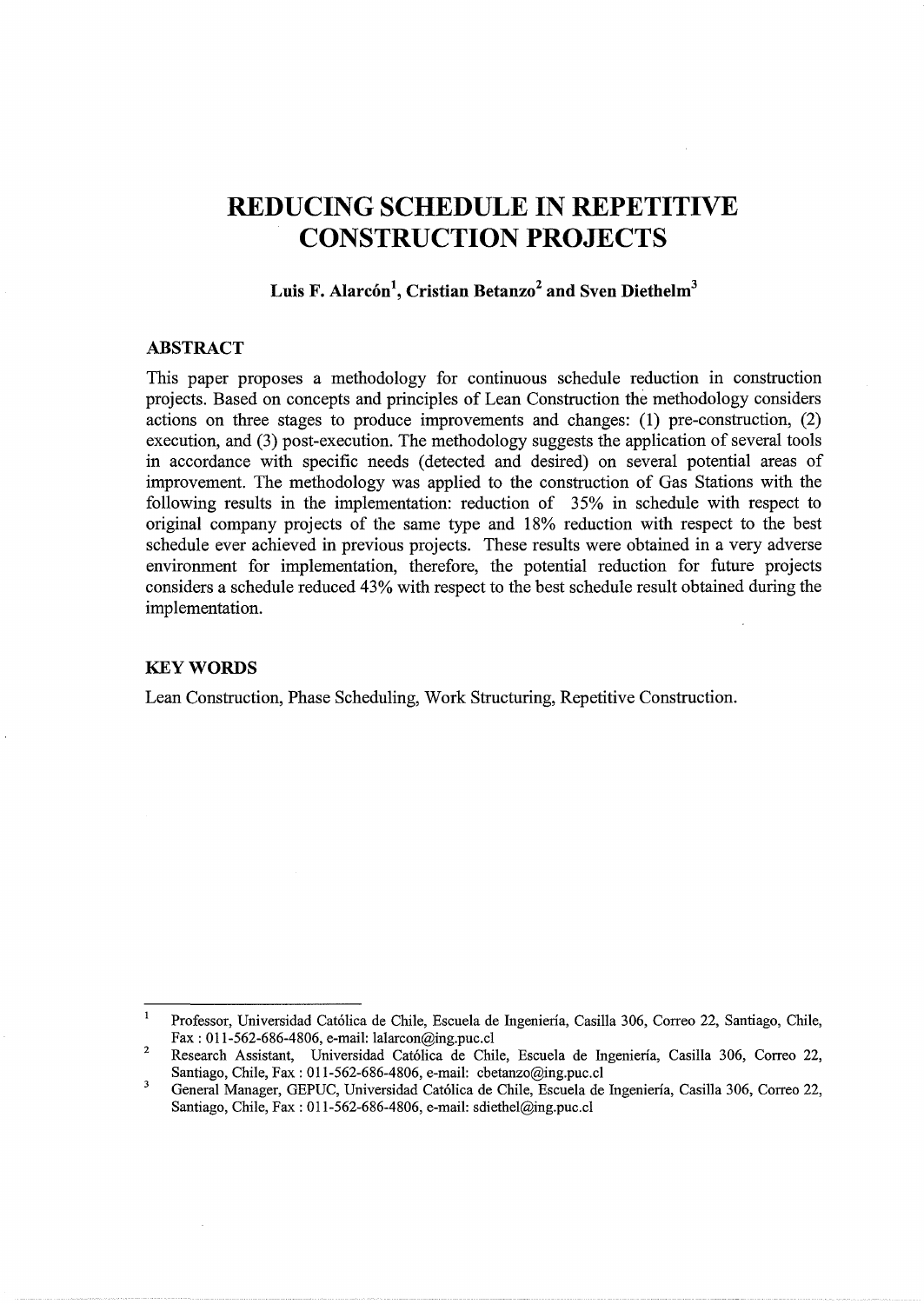# **REDUCING SCHEDULE IN REPETITIVE CONSTRUCTION PROJECTS**

# Luis F. Alarcón<sup>1</sup>, Cristian Betanzo<sup>2</sup> and Sven Diethelm<sup>3</sup>

## **ABSTRACT**

This paper proposes a methodology for continuous schedule reduction in construction projects. Based on concepts and principles of Lean Construction the methodology considers actions on three stages to produce improvements and changes: **(1)** pre-construction, (2) execution, and (3) post-execution. The methodology suggests the application of several tools in accordance with specific needs (detected and desired) on several potential areas of improvement. The methodology was applied to the construction of Gas Stations with the following results in the implementation: reduction of 35% in schedule with respect to original company projects of the same type and 18% reduction with respect to the best schedule ever achieved in previous projects. These results were obtained in a very adverse environment for implementation, therefore, the potential reduction for future projects considers a schedule reduced 43% with respect to the best schedule result obtained during the implementation.

#### **KEYWORDS**

Lean Construction, Phase Scheduling, Work Structuring, Repetitive Construction.

 $\mathbf{1}$ Professor, Universidad Cat6lica de Chile, Escuela de fugenieria, Casilla 306, Correo 22, Santiago, Chile, Fax: 011-562-686-4806, e-mail: lalarcon@ing.puc.cl

<sup>2</sup>  Research Assistant, Universidad Cat6lica de Chile, Escuela de fugenieria, Casilla 306, Correo 22, Santiago, Chile, Fax: 011-562-686-4806, e-mail: cbetanzo@ing.puc.cl

 $\overline{\mathbf{3}}$ General Manager, GEPUC, Universidad Cat6lica de Chile, Escuela de fugenieria, Casilla 306, Correo 22, Santiago, Chile, Fax: 011-562-686-4806, e-mail: sdiethel@ing.puc.cl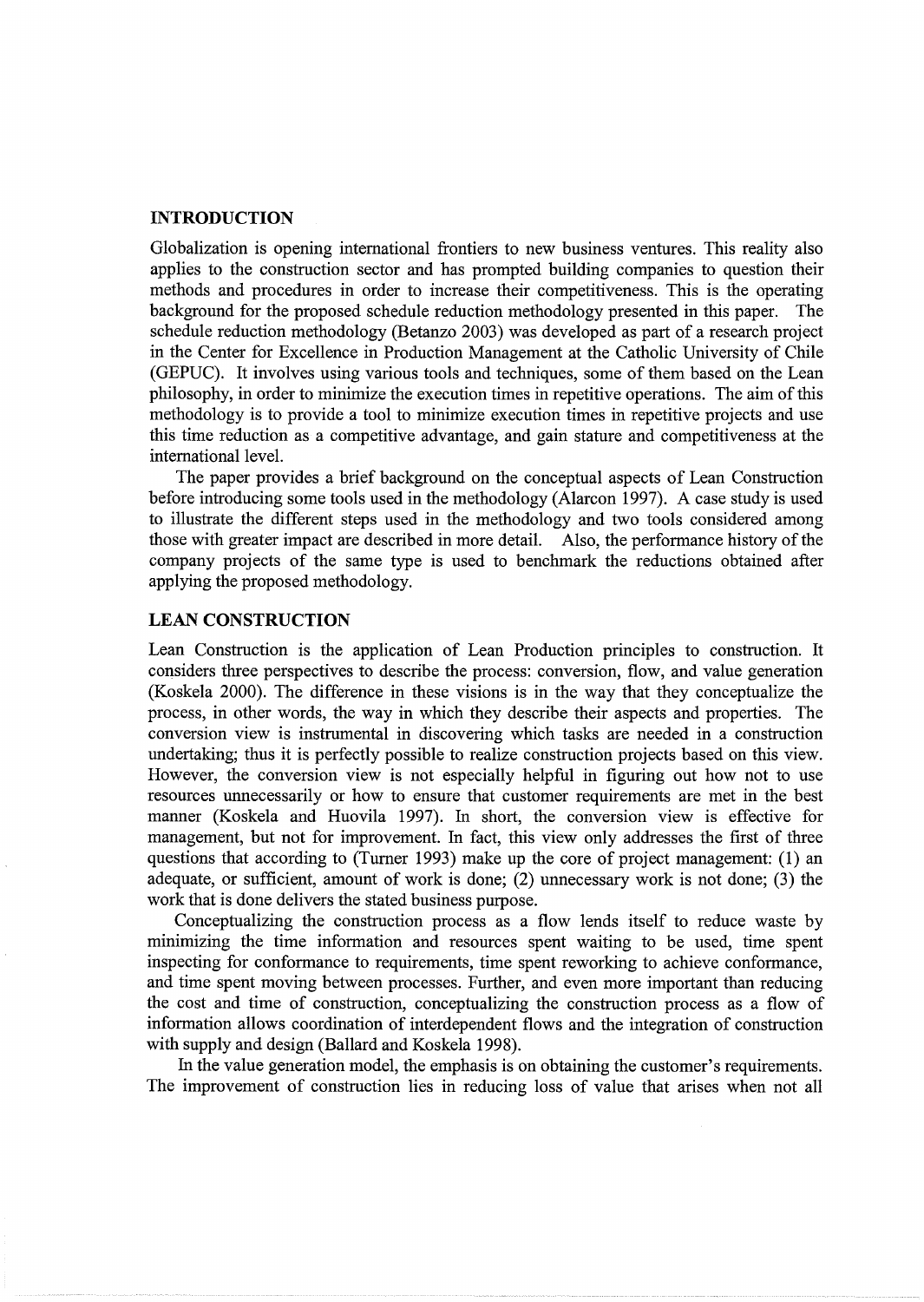## **INTRODUCTION**

Globalization is opening international frontiers to new business ventures. This reality also applies to the construction sector and has prompted building companies to question their methods and procedures in order to increase their competitiveness. This is the operating background for the proposed schedule reduction methodology presented in this paper. The schedule reduction methodology (Betanzo 2003) was developed as part of a research project in the Center for Excellence in Production Management at the Catholic University of Chile (GEPUC). It involves using various tools and techniques, some of them based on the Lean philosophy, in order to minimize the execution times in repetitive operations. The aim of this methodology is to provide a tool to minimize execution times in repetitive projects and use this time reduction as a competitive advantage, and gain stature and competitiveness at the international level.

The paper provides a brief background on the conceptual aspects of Lean Construction before introducing some tools used in the methodology (Alarcon 1997). A case study is used to illustrate the different steps used in the methodology and two tools considered among those with greater impact are described in more detail. Also, the performance history of the company projects of the same type is used to benchmark the reductions obtained after applying the proposed methodology.

## **LEAN CONSTRUCTION**

Lean Construction is the application of Lean Production principles to construction. It considers three perspectives to describe the process: conversion, flow, and value generation (Koskela 2000). The difference in these visions is in the way that they conceptualize the process, in other words, the way in which they describe their aspects and properties. The conversion view is instrumental in discovering which tasks are needed in a construction undertaking; thus it is perfectly possible to realize construction projects based on this view. However, the conversion view is not especially helpful in figuring out how not to use resources unnecessarily or how to ensure that customer requirements are met in the best manner (Koskela and Huovila 1997). In short, the conversion view is effective for management, but not for improvement. In fact, this view only addresses the first of three questions that according to (Turner 1993) make up the core of project management: (1) an adequate, or sufficient, amount of work is done; (2) unnecessary work is not done; (3) the work that is done delivers the stated business purpose.

Conceptualizing the construction process as a flow lends itself to reduce waste by minimizing the time information and resources spent waiting to be used, time spent inspecting for conformance to requirements, time spent reworking to achieve conformance, and time spent moving between processes. Further, and even more important than reducing the cost and time of construction, conceptualizing the construction process as a flow of information allows coordination of interdependent flows and the integration of construction with supply and design (Ballard and Koskela 1998).

In the value generation model, the emphasis is on obtaining the customer's requirements. The improvement of construction lies in reducing loss of value that arises when not all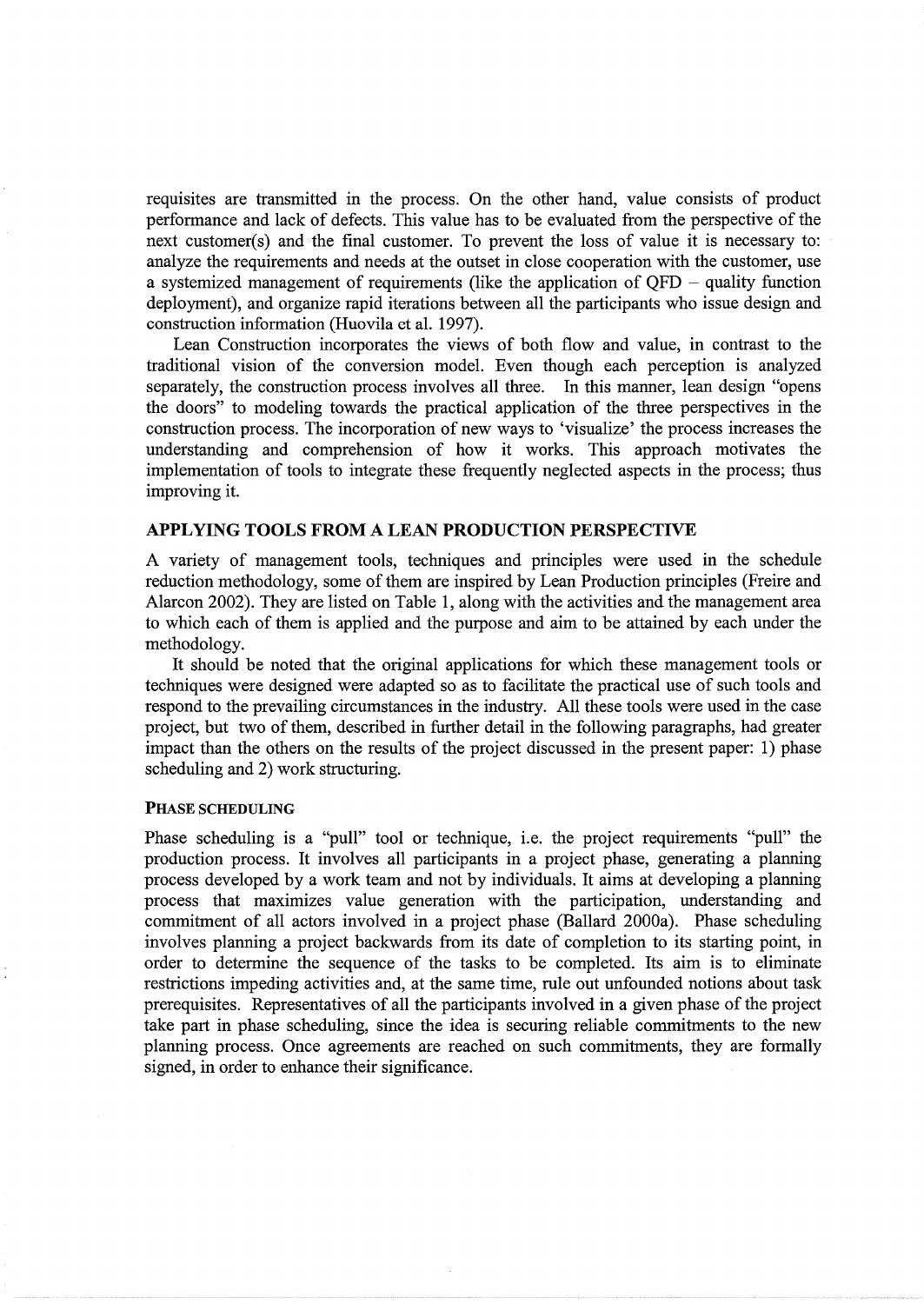requisites are transmitted in the process. On the other hand, value consists of product performance and lack of defects. This value has to be evaluated from the perspective of the next customer(s) and the final customer. To prevent the loss of value it is necessary to: analyze the requirements and needs at the outset in close cooperation with the customer, use a systemized management of requirements (like the application of  $QFD -$  quality function deployment), and organize rapid iterations between all the participants who issue design and construction information (Huovila et al. 1997).

Lean Construction incorporates the views of both flow and value, in contrast to the traditional vision of the conversion model. Even though each perception is analyzed separately, the construction process involves all three. In this manner, lean design "opens the doors" to modeling towards the practical application of the three perspectives in the construction process. The incorporation of new ways to 'visualize' the process increases the understanding and comprehension of how it works. This approach motivates the implementation of tools to integrate these frequently neglected aspects in the process; thus improving it.

### APPLYING TOOLS FROM A LEAN PRODUCTION PERSPECTIVE

A variety of management tools, techniques and principles were used in the schedule reduction methodology, some of them are inspired by Lean Production principles (Freire and Alarcon 2002). They are listed on Table 1, along with the activities and the management area to which each of them is applied and the purpose and aim to be attained by each under the methodology.

It should be noted that the original applications for which these management tools or techniques were designed were adapted so as to facilitate the practical use of such tools and respond to the prevailing circumstances in the industry. All these tools were used in the case project, but two of them, described in further detail in the following paragraphs, had greater impact than the others on the results of the project discussed in the present paper: 1) phase scheduling and 2) work structuring.

#### PHASE SCHEDULING

Phase scheduling is a "pull" tool or technique, i.e. the project requirements "pull" the production process. It involves all participants in a project phase, generating a planning process developed by a work team and not by individuals. It aims at developing a planning process that maximizes value generation with the participation, understanding and commitment of all actors involved in a project phase (Ballard 2000a). Phase scheduling involves planning a project backwards from its date of completion to its starting point, in order to determine the sequence of the tasks to be completed. Its aim is to eliminate restrictions impeding activities and, at the same time, rule out unfounded notions about task prerequisites. Representatives of all the participants involved in a given phase of the project take part in phase scheduling, since the idea is securing reliable commitments to the new planning process. Once agreements are reached on such commitments, they are formally signed, in order to enhance their significance.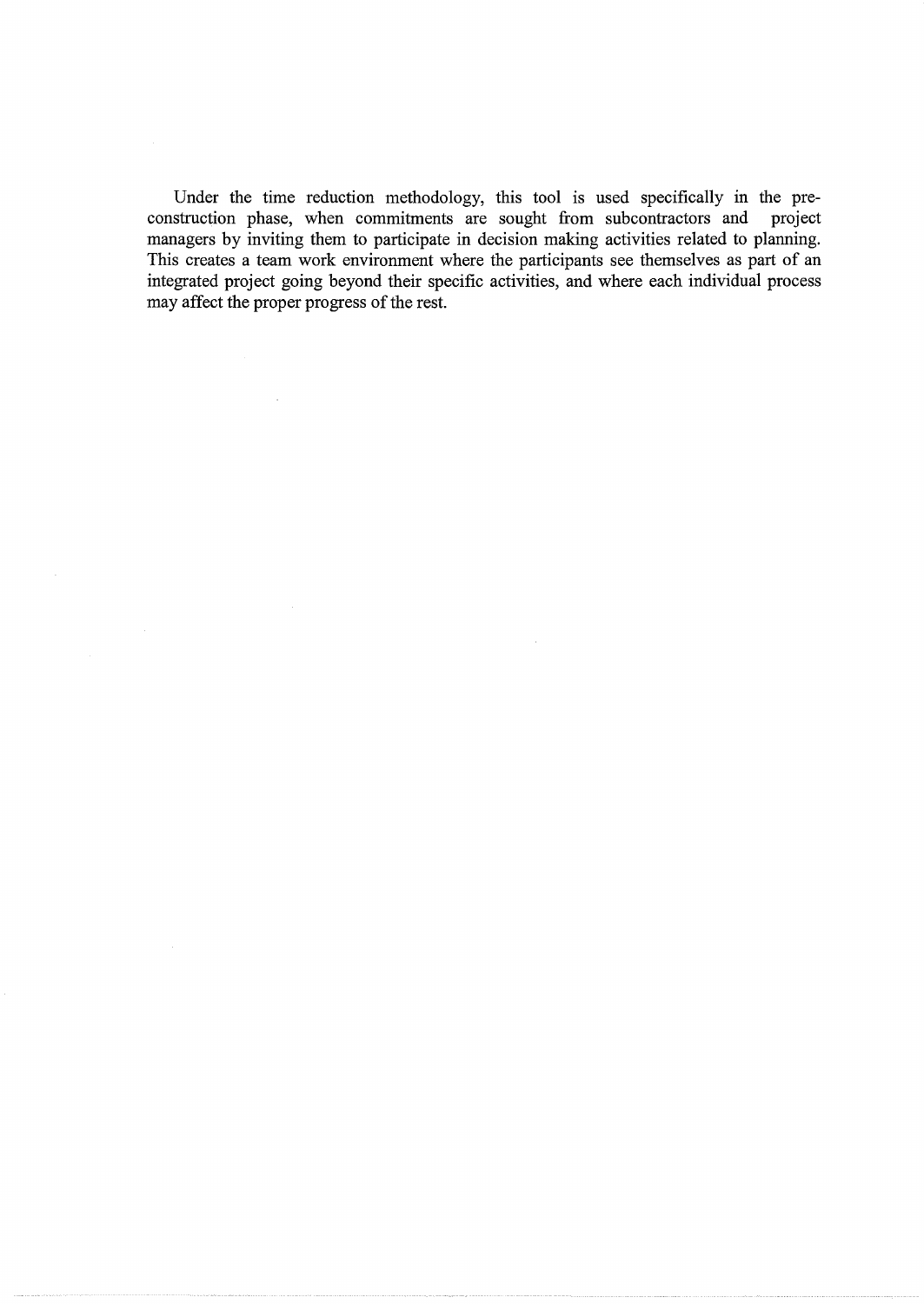Under the time reduction methodology, this tool is used specifically in the preconstruction phase, when commitments are sought from subcontractors and project managers by inviting them to participate in decision making activities related to planning. This creates a team work environment where the participants see themselves as part of an integrated project going beyond their specific activities, and where each individual process may affect the proper progress of the rest.

 $\sim 10$ 

 $\sim 10^{-1}$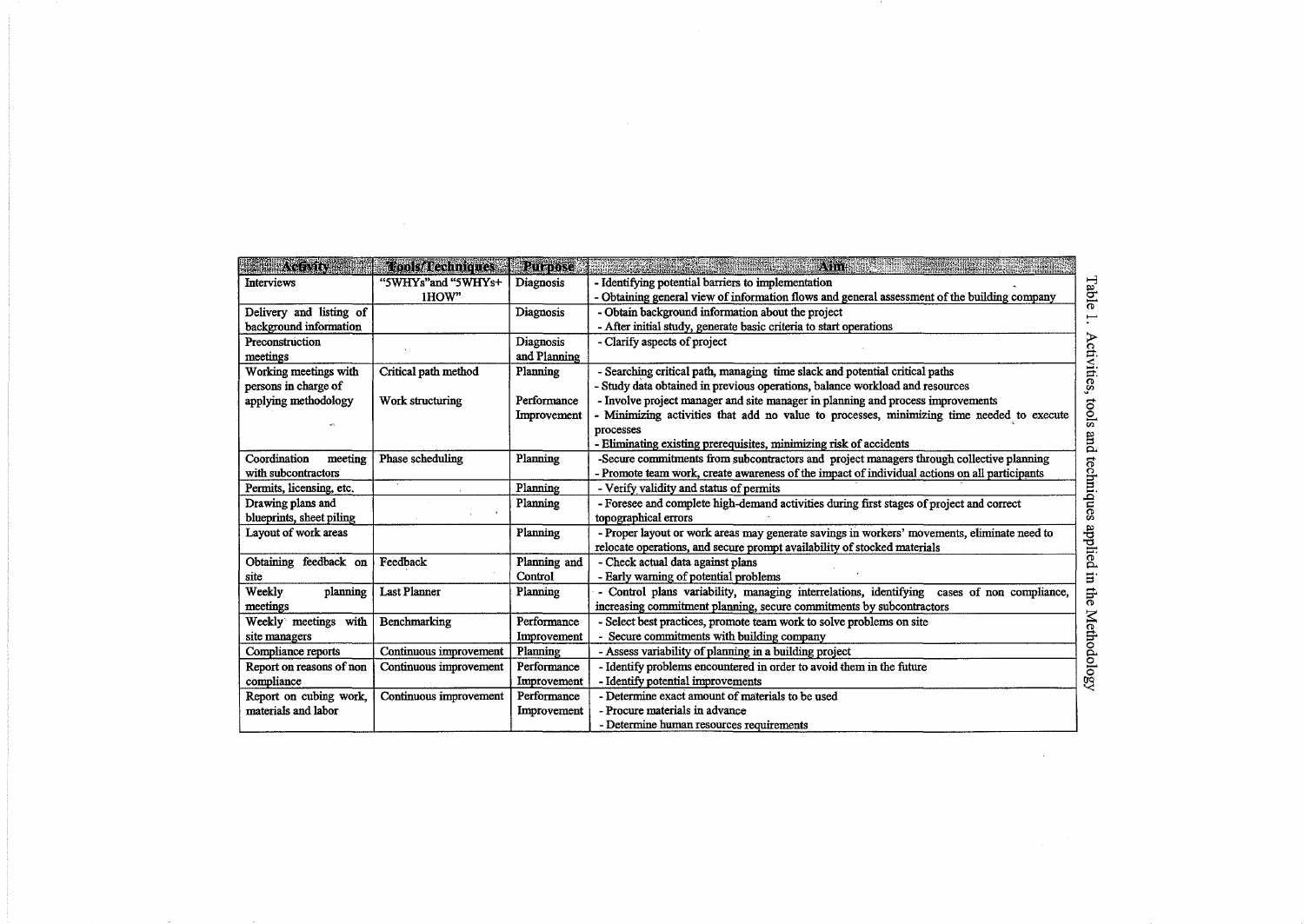| ACENTIN                  | d ools/d'echniques     | <b>Rurpose</b> | y. This<br>rende i Santana e Brasilia e Partido                                               |  |
|--------------------------|------------------------|----------------|-----------------------------------------------------------------------------------------------|--|
| <b>Interviews</b>        | "5WHYs"and "5WHYs+     | Diagnosis      | - Identifying potential barriers to implementation                                            |  |
|                          | 1HOW"                  |                | - Obtaining general view of information flows and general assessment of the building company  |  |
| Delivery and listing of  |                        | Diagnosis      | - Obtain background information about the project                                             |  |
| background information   |                        |                | - After initial study, generate basic criteria to start operations                            |  |
| Preconstruction          |                        | Diagnosis      | - Clarify aspects of project                                                                  |  |
| meetings                 |                        | and Planning   |                                                                                               |  |
| Working meetings with    | Critical path method   | Planning       | - Searching critical path, managing time slack and potential critical paths                   |  |
| persons in charge of     |                        |                | - Study data obtained in previous operations, balance workload and resources                  |  |
| applying methodology     | Work structuring       | Performance    | - Involve project manager and site manager in planning and process improvements               |  |
|                          |                        | Improvement    | Minimizing activities that add no value to processes, minimizing time needed to execute       |  |
|                          |                        |                | processes                                                                                     |  |
|                          |                        |                | - Eliminating existing prerequisites, minimizing risk of accidents                            |  |
| Coordination<br>meeting  | Phase scheduling       | Planning       | -Secure commitments from subcontractors and project managers through collective planning      |  |
| with subcontractors      |                        |                | - Promote team work, create awareness of the impact of individual actions on all participants |  |
| Permits, licensing, etc. |                        | Planning       | - Verify validity and status of permits                                                       |  |
| Drawing plans and        |                        | Planning       | - Foresee and complete high-demand activities during first stages of project and correct      |  |
| blueprints, sheet piling |                        |                | topographical errors                                                                          |  |
| Layout of work areas     |                        | Planning       | - Proper layout or work areas may generate savings in workers' movements, eliminate need to   |  |
|                          |                        |                | relocate operations, and secure prompt availability of stocked materials                      |  |
| Obtaining feedback on    | Feedback               | Planning and   | - Check actual data against plans                                                             |  |
| site                     |                        | Control        | - Early warning of potential problems                                                         |  |
| Weekly<br>planning       | <b>Last Planner</b>    | Planning       | - Control plans variability, managing interrelations, identifying cases of non compliance,    |  |
| meetings                 |                        |                | increasing commitment planning, secure commitments by subcontractors                          |  |
| Weekly meetings with     | Benchmarking           | Performance    | - Select best practices, promote team work to solve problems on site                          |  |
| site managers            |                        | Improvement    | Secure commitments with building company                                                      |  |
| Compliance reports       | Continuous improvement | Planning       | - Assess variability of planning in a building project                                        |  |
| Report on reasons of non | Continuous improvement | Performance    | - Identify problems encountered in order to avoid them in the future                          |  |
| compliance               |                        | Improvement    | - Identify potential improvements                                                             |  |
| Report on cubing work,   | Continuous improvement | Performance    | - Determine exact amount of materials to be used                                              |  |
| materials and labor      |                        | Improvement    | - Procure materials in advance                                                                |  |
|                          |                        |                | - Determine human resources requirements                                                      |  |

 $\mathcal{L}(\mathcal{L}^{\text{max}}_{\mathcal{L}})$  and  $\mathcal{L}^{\text{max}}_{\mathcal{L}}$  and  $\mathcal{L}^{\text{max}}_{\mathcal{L}}$ 

 $\mathcal{L}(\mathcal{L}(\mathcal{L}))$  and  $\mathcal{L}(\mathcal{L}(\mathcal{L}))$  . The contribution of  $\mathcal{L}(\mathcal{L})$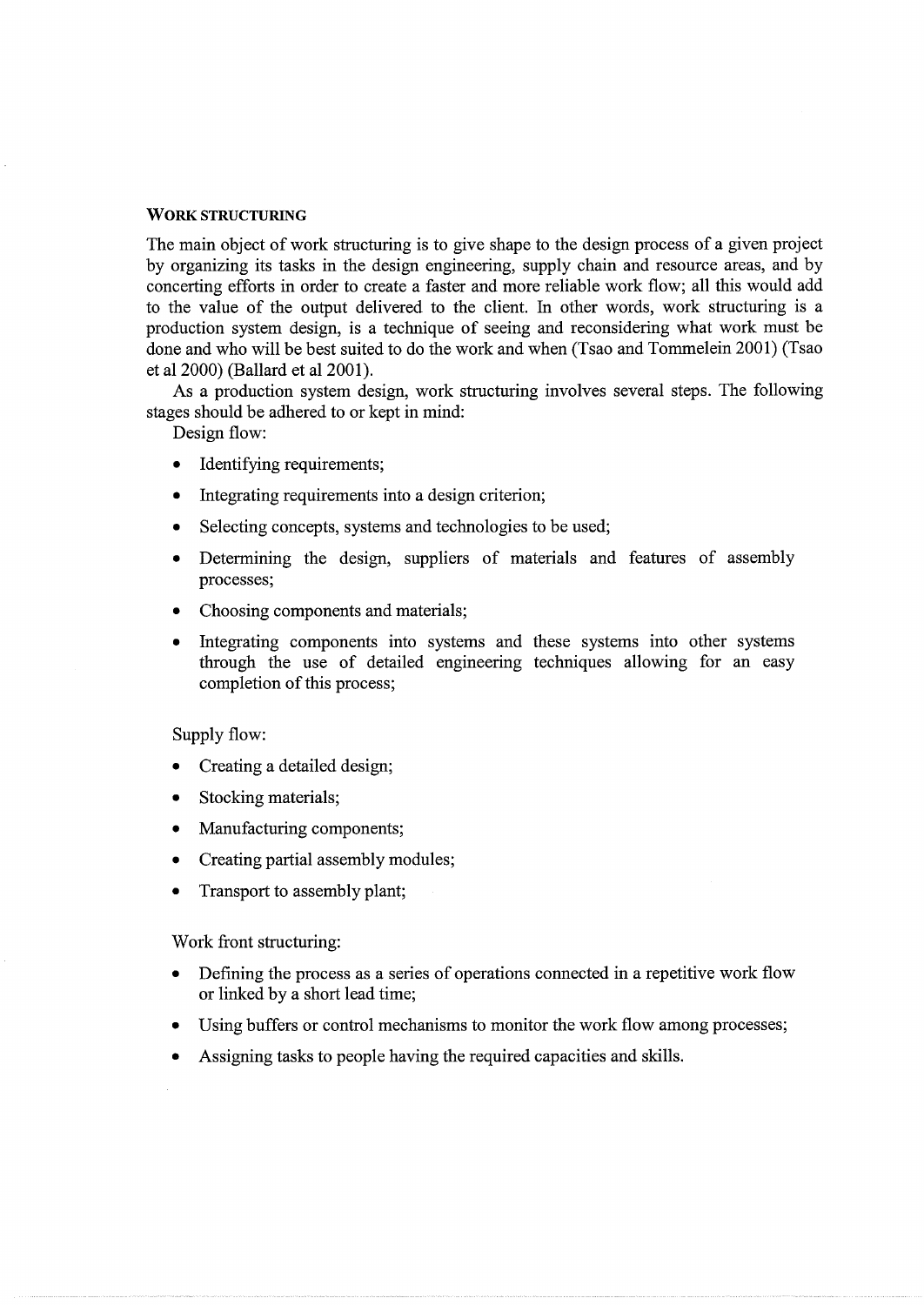## **WORK** STRUCTURING

The main object of work structuring is to give shape to the design process of a given project by organizing its tasks in the design engineering, supply chain and resource areas, and by concerting efforts in order to create a faster and more reliable work flow; all this would add to the value of the output delivered to the client. In other words, work structuring is a production system design, is a technique of seeing and reconsidering what work must be done and who will be best suited to do the work and when (Tsao and Tommelein 2001) (Tsao et al 2000) (Ballard et al 2001 ).

As a production system design, work structuring involves several steps. The following stages should be adhered to or kept in mind:

Design flow:

- Identifying requirements;
- Integrating requirements into a design criterion;
- Selecting concepts, systems and technologies to be used;
- Determining the design, suppliers of materials and features of assembly processes;
- Choosing components and materials;
- Integrating components into systems and these systems into other systems through the use of detailed engineering techniques allowing for an easy completion of this process;

#### Supply flow:

- Creating a detailed design;
- Stocking materials;
- Manufacturing components;
- Creating partial assembly modules;
- Transport to assembly plant;

Work front structuring:

- Defining the process as a series of operations connected in a repetitive work flow or linked by a short lead time;
- Using buffers or control mechanisms to monitor the work flow among processes;
- Assigning tasks to people having the required capacities and skills.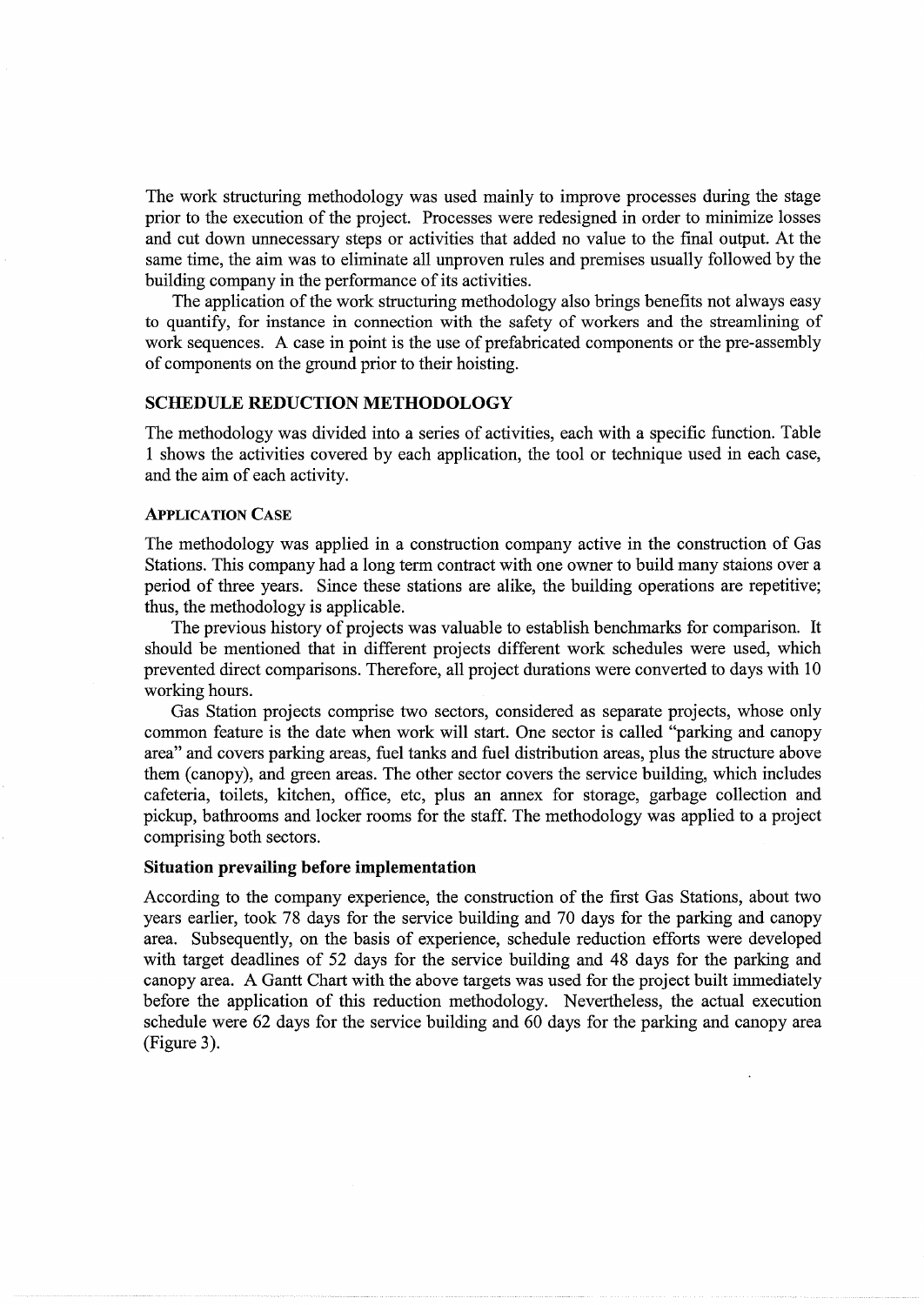The work structuring methodology was used mainly to improve processes during the stage prior to the execution of the project. Processes were redesigned in order to minimize losses and cut down unnecessary steps or activities that added no value to the final output. At the same time, the aim was to eliminate all unproven rules and premises usually followed by the building company in the performance of its activities.

The application of the work structuring methodology also brings benefits not always easy to quantify, for instance in connection with the safety of workers and the streamlining of work sequences. A case in point is the use of prefabricated components or the pre-assembly of components on the ground prior to their hoisting.

## **SCHEDULE REDUCTION METHODOLOGY**

The methodology was divided into a series of activities, each with a specific function. Table 1 shows the activities covered by each application, the tool or technique used in each case, and the aim of each activity.

### APPLICATION CASE

The methodology was applied in a construction company active in the construction of Gas Stations. This company had a long term contract with one owner to build many staions over a period of three years. Since these stations are alike, the building operations are repetitive; thus, the methodology is applicable.

The previous history of projects was valuable to establish benchmarks for comparison. It should be mentioned that in different projects different work schedules were used, which prevented direct comparisons. Therefore, all project durations were converted to days with 10 working hours.

Gas Station projects comprise two sectors, considered as separate projects, whose only common feature is the date when work will start. One sector is called "parking and canopy area" and covers parking areas, fuel tanks and fuel distribution areas, plus the structure above them (canopy), and green areas. The other sector covers the service building, which includes cafeteria, toilets, kitchen, office, etc, plus an annex for storage, garbage collection and pickup, bathrooms and locker rooms for the staff. The methodology was applied to a project comprising both sectors.

#### **Situation prevailing before implementation**

According to the company experience, the construction of the first Gas Stations, about two years earlier, took 78 days for the service building and 70 days for the parking and canopy area. Subsequently, on the basis of experience, schedule reduction efforts were developed with target deadlines of 52 days for the service building and 48 days for the parking and canopy area. A Gantt Chart with the above targets was used for the project built immediately before the application of this reduction methodology. Nevertheless, the actual execution schedule were 62 days for the service building and 60 days for the parking and canopy area (Figure 3).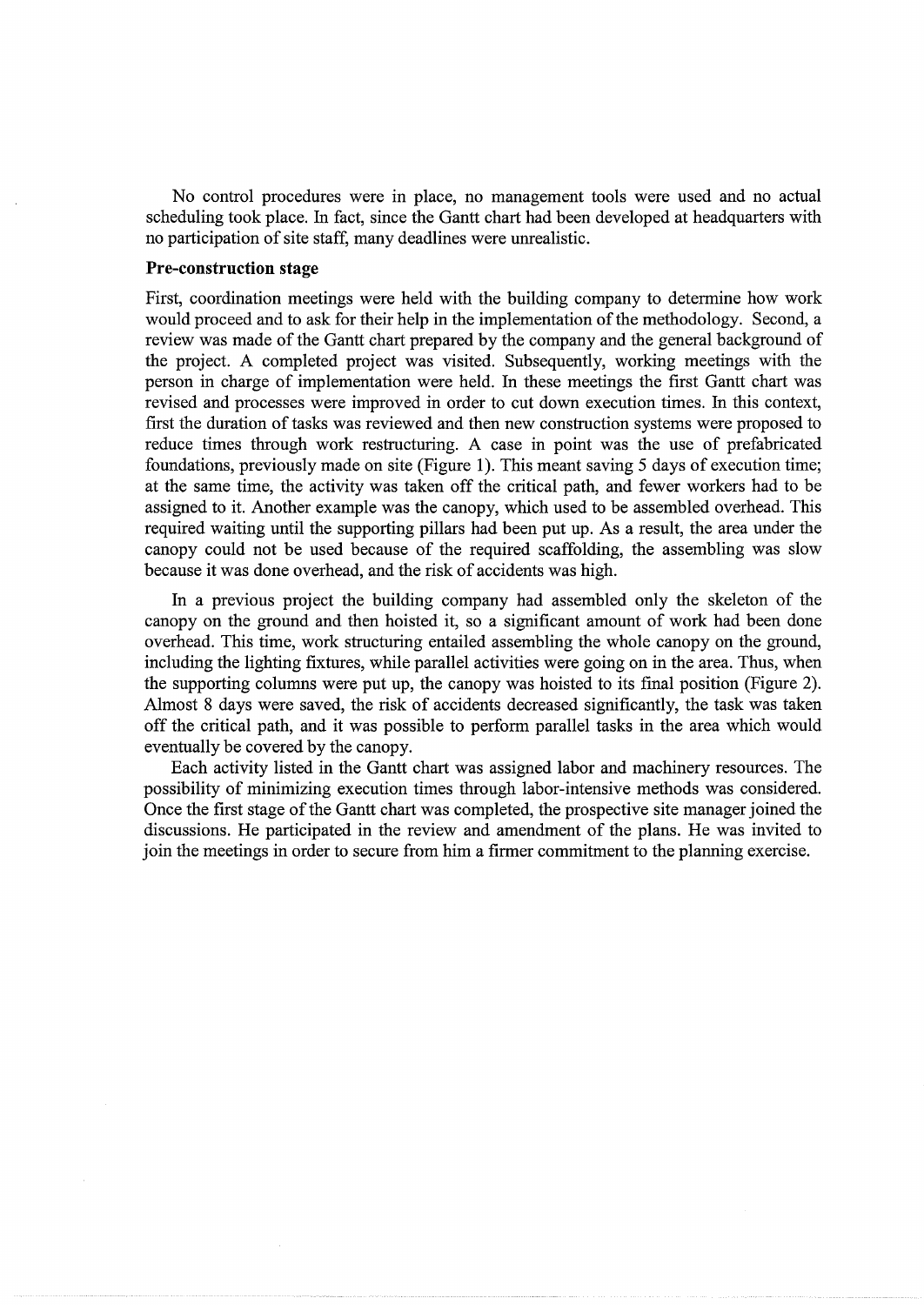No control procedures were in place, no management tools were used and no actual scheduling took place. In fact, since the Gantt chart had been developed at headquarters with no participation of site staff, many deadlines were unrealistic.

#### **Pre-construction stage**

First, coordination meetings were held with the building company to determine how work would proceed and to ask for their help in the implementation of the methodology. Second, a review was made of the Gantt chart prepared by the company and the general background of the project. A completed project was visited. Subsequently, working meetings with the person in charge of implementation were held. In these meetings the first Gantt chart was revised and processes were improved in order to cut down execution times. In this context, first the duration of tasks was reviewed and then new construction systems were proposed to reduce times through work restructuring. A case in point was the use of prefabricated foundations, previously made on site (Figure **1** ). This meant saving 5 days of execution time; at the same time, the activity was taken off the critical path, and fewer workers had to be assigned to it. Another example was the canopy, which used to be assembled overhead. This required waiting until the supporting pillars had been put up. As a result, the area under the canopy could not be used because of the required scaffolding, the assembling was slow because it was done overhead, and the risk of accidents was high.

In a previous project the building company had assembled only the skeleton of the canopy on the ground and then hoisted it, so a significant amount of work had been done overhead. This time, work structuring entailed assembling the whole canopy on the ground, including the lighting fixtures, while parallel activities were going on in the area. Thus, when the supporting columns were put up, the canopy was hoisted to its final position (Figure 2). Almost 8 days were saved, the risk of accidents decreased significantly, the task was taken off the critical path, and it was possible to perform parallel tasks in the area which would eventually be covered by the canopy.

Each activity listed in the Gantt chart was assigned labor and machinery resources. The possibility of minimizing execution times through labor-intensive methods was considered. Once the first stage of the Gantt chart was completed, the prospective site manager joined the discussions. He participated in the review and amendment of the plans. He was invited to join the meetings in order to secure from him a firmer commitment to the planning exercise.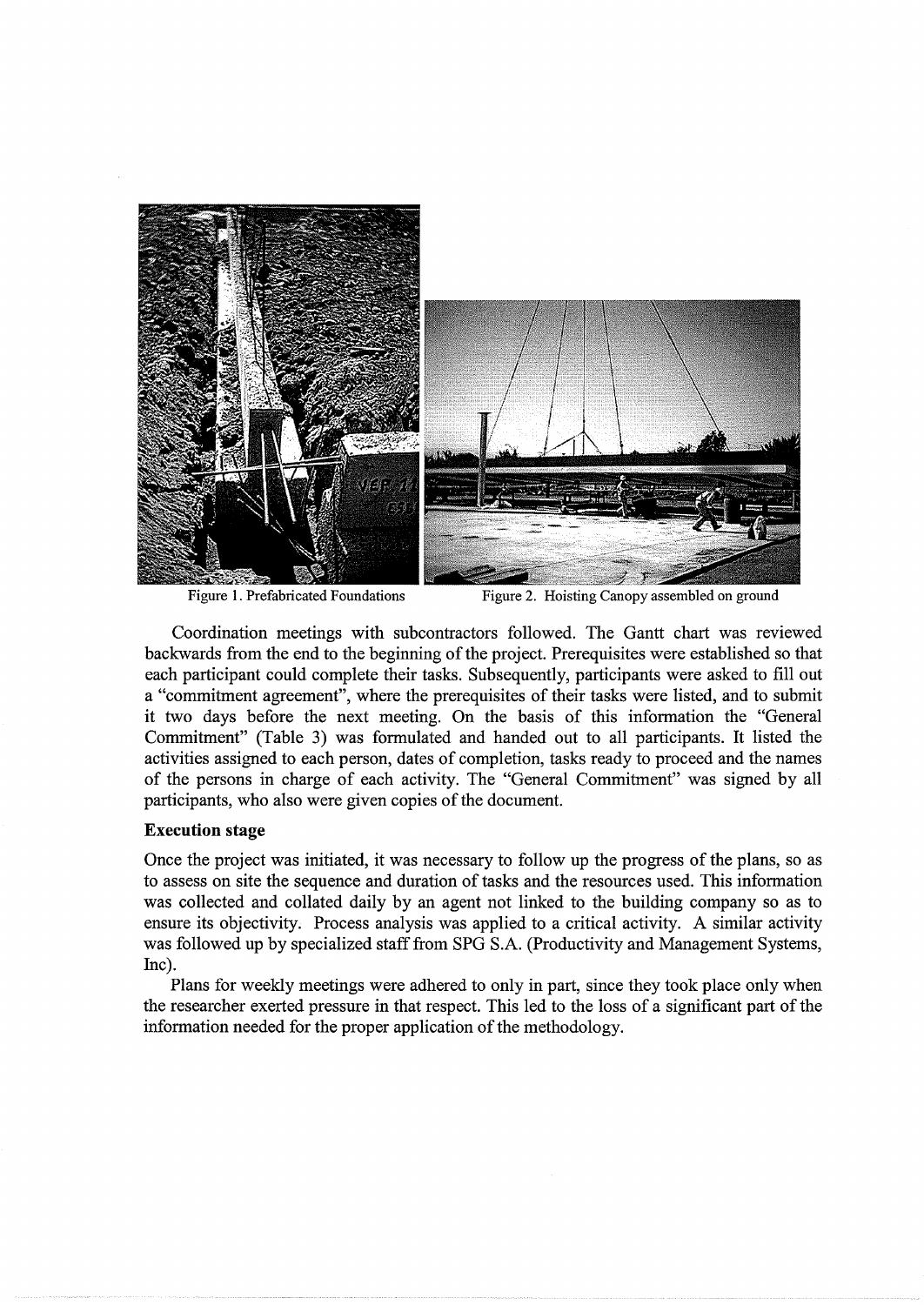

Figure 1. Prefabricated Foundations Figure 2. Hoisting Canopy assembled on ground

Coordination meetings with subcontractors followed. The Gantt chart was reviewed backwards from the end to the beginning of the project. Prerequisites were established so that each participant could complete their tasks. Subsequently, participants were asked to fill out a "commitment agreement", where the prerequisites of their tasks were listed, and to submit it two days before the next meeting. On the basis of this information the "General Commitment" (Table 3) was formulated and handed out to all participants. It listed the activities assigned to each person, dates of completion, tasks ready to proceed and the names of the persons in charge of each activity. The "General Commitment" was signed by all participants, who also were given copies of the document.

#### **Execution stage**

Once the project was initiated, it was necessary to follow up the progress of the plans, so as to assess on site the sequence and duration of tasks and the resources used. This information was collected and collated daily by an agent not linked to the building company so as to ensure its objectivity. Process analysis was applied to a critical activity. A similar activity was followed up by specialized staff from SPG S.A. (Productivity and Management Systems, Inc).

Plans for weekly meetings were adhered to only in part, since they took place only when the researcher exerted pressure in that respect. This led to the loss of a significant part of the information needed for the proper application of the methodology.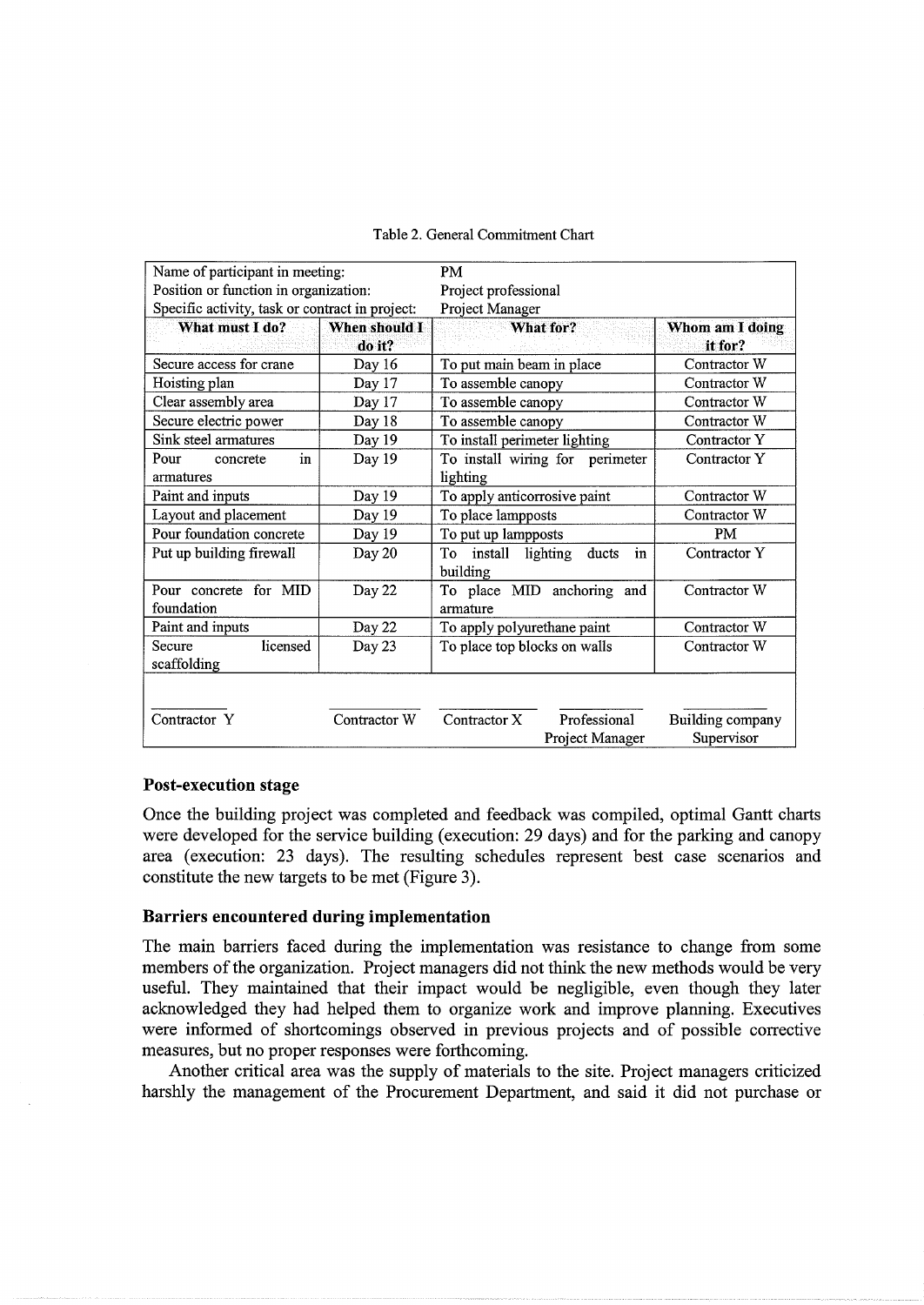| Name of participant in meeting:                 |                         | PM                                                |                                |  |
|-------------------------------------------------|-------------------------|---------------------------------------------------|--------------------------------|--|
| Position or function in organization:           |                         | Project professional                              |                                |  |
| Specific activity, task or contract in project: |                         | Project Manager                                   |                                |  |
| What must I do?                                 | When should I<br>do it? | What for?                                         | Whom am I doing<br>it for?     |  |
| Secure access for crane                         | Day 16                  | To put main beam in place                         | Contractor W                   |  |
| Hoisting plan                                   | Day 17                  | To assemble canopy                                | Contractor W                   |  |
| Clear assembly area                             | Day 17                  | To assemble canopy                                | Contractor W                   |  |
| Secure electric power                           | Day 18                  | To assemble canopy                                | Contractor W                   |  |
| Sink steel armatures                            | Day 19                  | To install perimeter lighting                     | Contractor Y                   |  |
| Pour<br>concrete<br>in<br>armatures             | Day 19                  | To install wiring for perimeter<br>lighting       | Contractor Y                   |  |
| Paint and inputs                                | Day 19                  | To apply anticorrosive paint                      | Contractor W                   |  |
| Layout and placement                            | Day 19                  | To place lampposts                                | Contractor W                   |  |
| Pour foundation concrete                        | Day 19                  | To put up lampposts                               | <b>PM</b>                      |  |
| Put up building firewall                        | Day 20                  | To install<br>lighting<br>ducts<br>in<br>building | Contractor Y                   |  |
| Pour concrete for MID<br>foundation             | Day 22                  | To place MID anchoring and<br>armature            | Contractor W                   |  |
| Paint and inputs                                | Day 22                  | To apply polyurethane paint                       | Contractor W                   |  |
| licensed<br>Secure<br>scaffolding               | Day 23                  | To place top blocks on walls                      | Contractor W                   |  |
| Contractor Y                                    | Contractor W            | Professional<br>Contractor X<br>Project Manager   | Building company<br>Supervisor |  |

#### Table 2. General Commitment Chart

## Post-execution stage

Once the building project was completed and feedback was compiled, optimal Gantt charts were developed for the service building (execution: 29 days) and for the parking and canopy area (execution: 23 days). The resulting schedules represent best case scenarios and constitute the new targets to be met (Figure 3).

## Barriers encountered during implementation

The main barriers faced during the implementation was resistance to change from some members of the organization. Project managers did not think the new methods would be very useful. They maintained that their impact would be negligible, even though they later acknowledged they had helped them to organize work and improve planning. Executives were informed of shortcomings observed in previous projects and of possible corrective measures, but no proper responses were forthcoming.

Another critical area was the supply of materials to the site. Project managers criticized harshly the management of the Procurement Department, and said it did not purchase or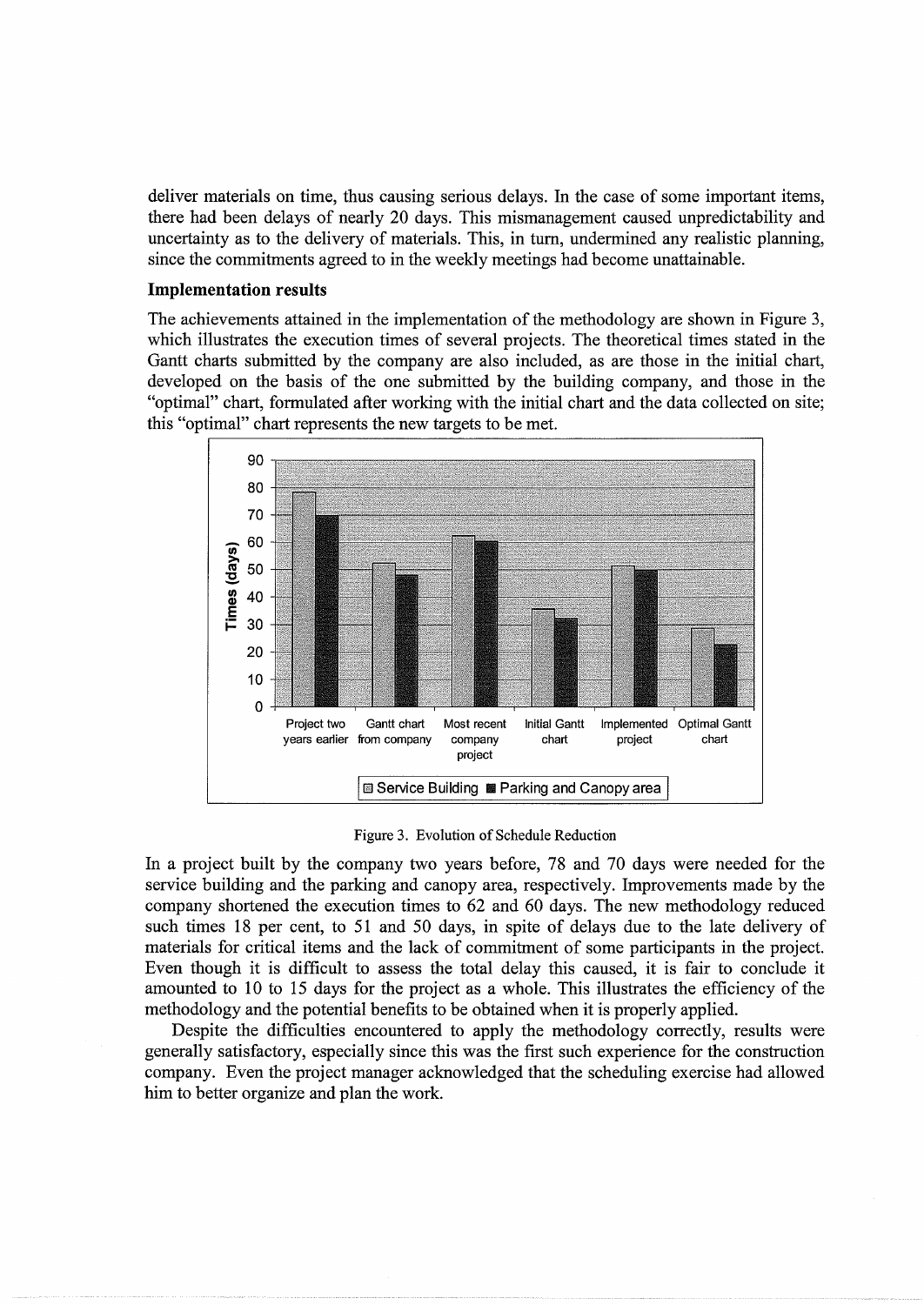deliver materials on time, thus causing serious delays. In the case of some important items, there had been delays of nearly 20 days. This mismanagement caused unpredictability and uncertainty as to the delivery of materials. This, in turn, undermined any realistic planning, since the commitments agreed to in the weekly meetings had become unattainable.

## **Implementation results**

The achievements attained in the implementation of the methodology are shown in Figure 3, which illustrates the execution times of several projects. The theoretical times stated in the Gantt charts submitted by the company are also included, as are those in the initial chart, developed on the basis of the one submitted by the building company, and those in the "optimal" chart, formulated after working with the initial chart and the data collected on site; this "optimal" chart represents the new targets to be met.



Figure 3. Evolution of Schedule Reduction

In a project built by the company two years before, 78 and 70 days were needed for the service building and the parking and canopy area, respectively. Improvements made by the company shortened the execution times to 62 and 60 days. The new methodology reduced such times 18 per cent, to 51 and 50 days, in spite of delays due to the late delivery of materials for critical items and the lack of commitment of some participants in the project. Even though it is difficult to assess the total delay this caused, it is fair to conclude it amounted to 10 to 15 days for the project as a whole. This illustrates the efficiency of the methodology and the potential benefits to be obtained when it is properly applied.

Despite the difficulties encountered to apply the methodology correctly, results were generally satisfactory, especially since this was the first such experience for the construction company. Even the project manager acknowledged that the scheduling exercise had allowed him to better organize and plan the work.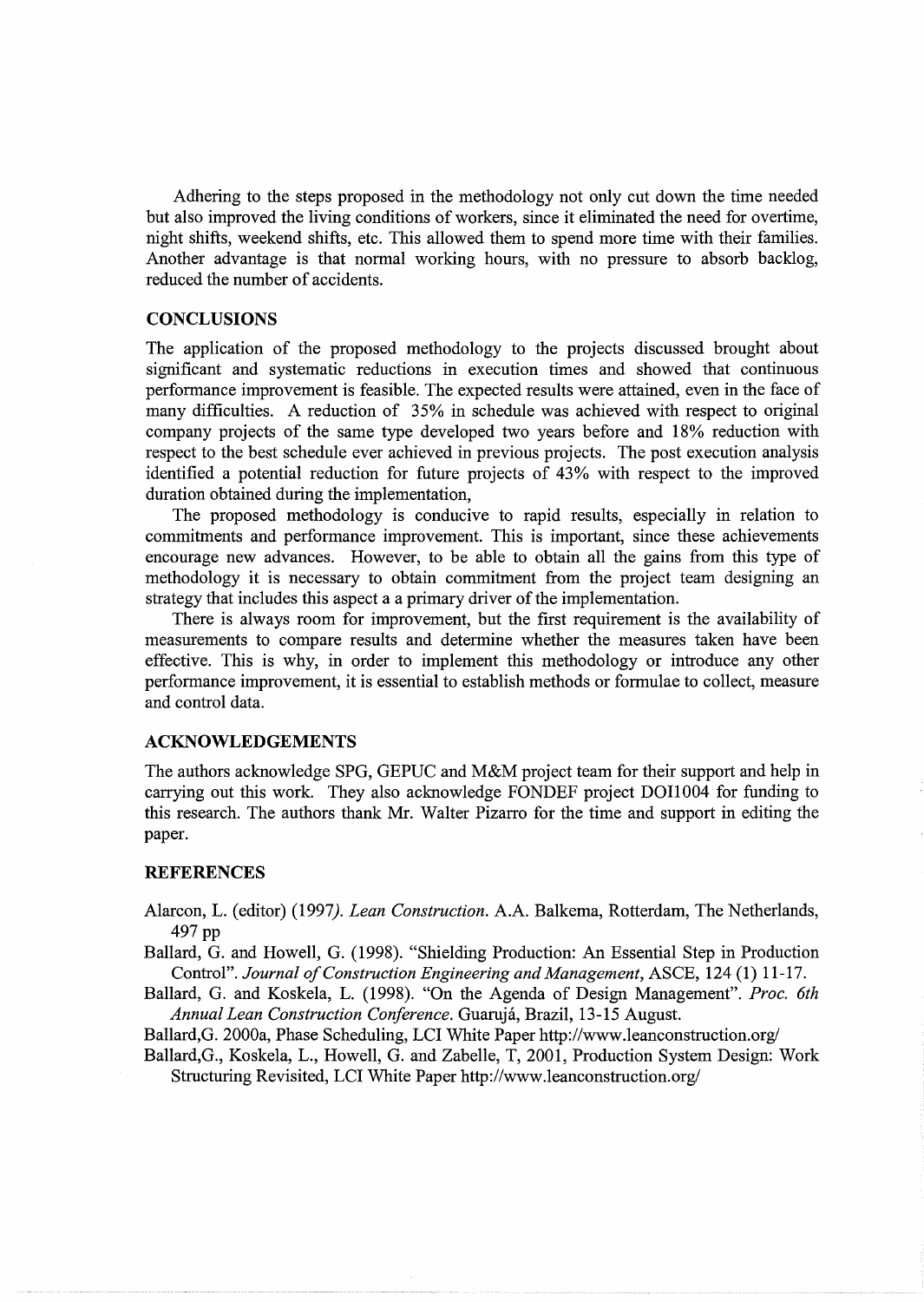Adhering to the steps proposed in the methodology not only cut down the time needed but also improved the living conditions of workers, since it eliminated the need for overtime, night shifts, weekend shifts, etc. This allowed them to spend more time with their families. Another advantage is that normal working hours, with no pressure to absorb backlog, reduced the number of accidents.

#### **CONCLUSIONS**

The application of the proposed methodology to the projects discussed brought about significant and systematic reductions in execution times and showed that continuous performance improvement is feasible. The expected results were attained, even in the face of many difficulties. A reduction of 35% in schedule was achieved with respect to original company projects of the same type developed two years before and 18% reduction with respect to the best schedule ever achieved in previous projects. The post execution analysis identified a potential reduction for future projects of 43% with respect to the improved duration obtained during the implementation,

The proposed methodology is conducive to rapid results, especially in relation to commitments and performance improvement. This is important, since these achievements encourage new advances. However, to be able to obtain all the gains from this type of methodology it is necessary to obtain commitment from the project team designing an strategy that includes this aspect a a primary driver of the implementation.

There is always room for improvement, but the first requirement is the availability of measurements to compare results and determine whether the measures taken have been effective. This is why, in order to implement this methodology or introduce any other performance improvement, it is essential to establish methods or formulae to collect, measure and control data.

#### **ACKNOWLEDGEMENTS**

The authors acknowledge SPG, GEPUC and M&M project team for their support and help in carrying out this work. They also acknowledge FONDEF project DOll 004 for funding to this research. The authors thank Mr. Walter Pizarro for the time and support in editing the paper.

#### **REFERENCES**

- Alarcon, L. (editor) (1997). *Lean Construction.* A.A. Balkema, Rotterdam, The Netherlands, 497 pp
- Ballard, G. and Howell, G. (1998). "Shielding Production: An Essential Step in Production Control". *Journal of Construction Engineering and Management,* ASCE, 124 **(1)** 11-17.
- Ballard, G. and Koskela, L. (1998). "On the Agenda of Design Management". *Proc. 6th Annual Lean Construction Conference.* Guaruja, Brazil, 13-15 August.
- Ballard, G. 2000a, Phase Scheduling, LCI White Paper http://www.leanconstruction.org/
- Ballard,G., Koskela, L., Howell, G. and Zabelle, T, 2001, Production System Design: Work Structuring Revisited, LCI White Paper http://www.leanconstruction.org/